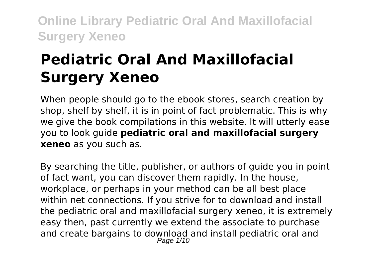# **Pediatric Oral And Maxillofacial Surgery Xeneo**

When people should go to the ebook stores, search creation by shop, shelf by shelf, it is in point of fact problematic. This is why we give the book compilations in this website. It will utterly ease you to look guide **pediatric oral and maxillofacial surgery xeneo** as you such as.

By searching the title, publisher, or authors of guide you in point of fact want, you can discover them rapidly. In the house, workplace, or perhaps in your method can be all best place within net connections. If you strive for to download and install the pediatric oral and maxillofacial surgery xeneo, it is extremely easy then, past currently we extend the associate to purchase and create bargains to download and install pediatric oral and Page 1/10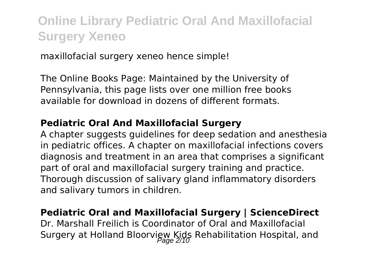maxillofacial surgery xeneo hence simple!

The Online Books Page: Maintained by the University of Pennsylvania, this page lists over one million free books available for download in dozens of different formats.

#### **Pediatric Oral And Maxillofacial Surgery**

A chapter suggests guidelines for deep sedation and anesthesia in pediatric offices. A chapter on maxillofacial infections covers diagnosis and treatment in an area that comprises a significant part of oral and maxillofacial surgery training and practice. Thorough discussion of salivary gland inflammatory disorders and salivary tumors in children.

#### **Pediatric Oral and Maxillofacial Surgery | ScienceDirect**

Dr. Marshall Freilich is Coordinator of Oral and Maxillofacial Surgery at Holland Bloorview Kids Rehabilitation Hospital, and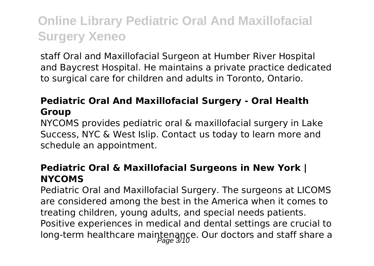staff Oral and Maxillofacial Surgeon at Humber River Hospital and Baycrest Hospital. He maintains a private practice dedicated to surgical care for children and adults in Toronto, Ontario.

### **Pediatric Oral And Maxillofacial Surgery - Oral Health Group**

NYCOMS provides pediatric oral & maxillofacial surgery in Lake Success, NYC & West Islip. Contact us today to learn more and schedule an appointment.

### **Pediatric Oral & Maxillofacial Surgeons in New York | NYCOMS**

Pediatric Oral and Maxillofacial Surgery. The surgeons at LICOMS are considered among the best in the America when it comes to treating children, young adults, and special needs patients. Positive experiences in medical and dental settings are crucial to long-term healthcare maintenance. Our doctors and staff share a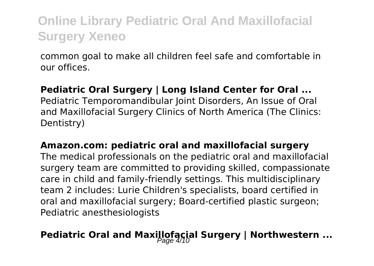common goal to make all children feel safe and comfortable in our offices.

#### **Pediatric Oral Surgery | Long Island Center for Oral ...**

Pediatric Temporomandibular Joint Disorders, An Issue of Oral and Maxillofacial Surgery Clinics of North America (The Clinics: Dentistry)

#### **Amazon.com: pediatric oral and maxillofacial surgery**

The medical professionals on the pediatric oral and maxillofacial surgery team are committed to providing skilled, compassionate care in child and family-friendly settings. This multidisciplinary team 2 includes: Lurie Children's specialists, board certified in oral and maxillofacial surgery; Board-certified plastic surgeon; Pediatric anesthesiologists

### **Pediatric Oral and Maxillofacial Surgery | Northwestern ...**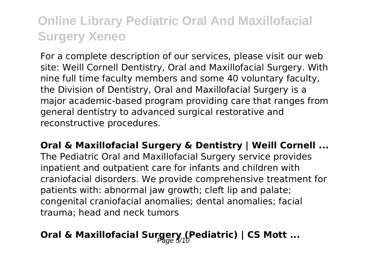For a complete description of our services, please visit our web site: Weill Cornell Dentistry, Oral and Maxillofacial Surgery. With nine full time faculty members and some 40 voluntary faculty, the Division of Dentistry, Oral and Maxillofacial Surgery is a major academic-based program providing care that ranges from general dentistry to advanced surgical restorative and reconstructive procedures.

**Oral & Maxillofacial Surgery & Dentistry | Weill Cornell ...** The Pediatric Oral and Maxillofacial Surgery service provides inpatient and outpatient care for infants and children with craniofacial disorders. We provide comprehensive treatment for patients with: abnormal jaw growth; cleft lip and palate; congenital craniofacial anomalies; dental anomalies; facial trauma; head and neck tumors

### Oral & Maxillofacial Surgery (Pediatric) | CS Mott ...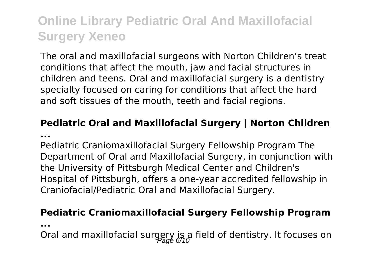The oral and maxillofacial surgeons with Norton Children's treat conditions that affect the mouth, jaw and facial structures in children and teens. Oral and maxillofacial surgery is a dentistry specialty focused on caring for conditions that affect the hard and soft tissues of the mouth, teeth and facial regions.

#### **Pediatric Oral and Maxillofacial Surgery | Norton Children ...**

Pediatric Craniomaxillofacial Surgery Fellowship Program The Department of Oral and Maxillofacial Surgery, in conjunction with the University of Pittsburgh Medical Center and Children's Hospital of Pittsburgh, offers a one-year accredited fellowship in Craniofacial/Pediatric Oral and Maxillofacial Surgery.

#### **Pediatric Craniomaxillofacial Surgery Fellowship Program**

**...**

Oral and maxillofacial surgery is a field of dentistry. It focuses on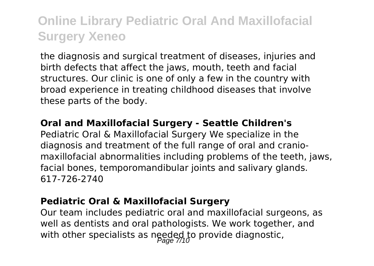the diagnosis and surgical treatment of diseases, injuries and birth defects that affect the jaws, mouth, teeth and facial structures. Our clinic is one of only a few in the country with broad experience in treating childhood diseases that involve these parts of the body.

#### **Oral and Maxillofacial Surgery - Seattle Children's**

Pediatric Oral & Maxillofacial Surgery We specialize in the diagnosis and treatment of the full range of oral and craniomaxillofacial abnormalities including problems of the teeth, jaws, facial bones, temporomandibular joints and salivary glands. 617-726-2740

#### **Pediatric Oral & Maxillofacial Surgery**

Our team includes pediatric oral and maxillofacial surgeons, as well as dentists and oral pathologists. We work together, and with other specialists as needed to provide diagnostic,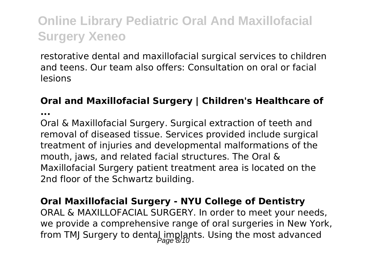restorative dental and maxillofacial surgical services to children and teens. Our team also offers: Consultation on oral or facial lesions

### **Oral and Maxillofacial Surgery | Children's Healthcare of**

**...**

Oral & Maxillofacial Surgery. Surgical extraction of teeth and removal of diseased tissue. Services provided include surgical treatment of injuries and developmental malformations of the mouth, jaws, and related facial structures. The Oral & Maxillofacial Surgery patient treatment area is located on the 2nd floor of the Schwartz building.

### **Oral Maxillofacial Surgery - NYU College of Dentistry**

ORAL & MAXILLOFACIAL SURGERY. In order to meet your needs, we provide a comprehensive range of oral surgeries in New York, from TMJ Surgery to dental implants. Using the most advanced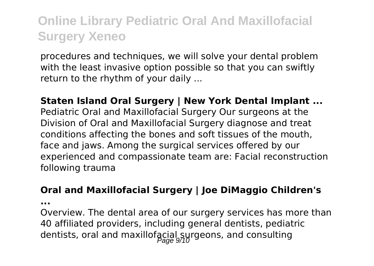procedures and techniques, we will solve your dental problem with the least invasive option possible so that you can swiftly return to the rhythm of your daily ...

**Staten Island Oral Surgery | New York Dental Implant ...** Pediatric Oral and Maxillofacial Surgery Our surgeons at the Division of Oral and Maxillofacial Surgery diagnose and treat conditions affecting the bones and soft tissues of the mouth, face and jaws. Among the surgical services offered by our experienced and compassionate team are: Facial reconstruction following trauma

#### **Oral and Maxillofacial Surgery | Joe DiMaggio Children's**

**...**

Overview. The dental area of our surgery services has more than 40 affiliated providers, including general dentists, pediatric dentists, oral and maxillofacial surgeons, and consulting